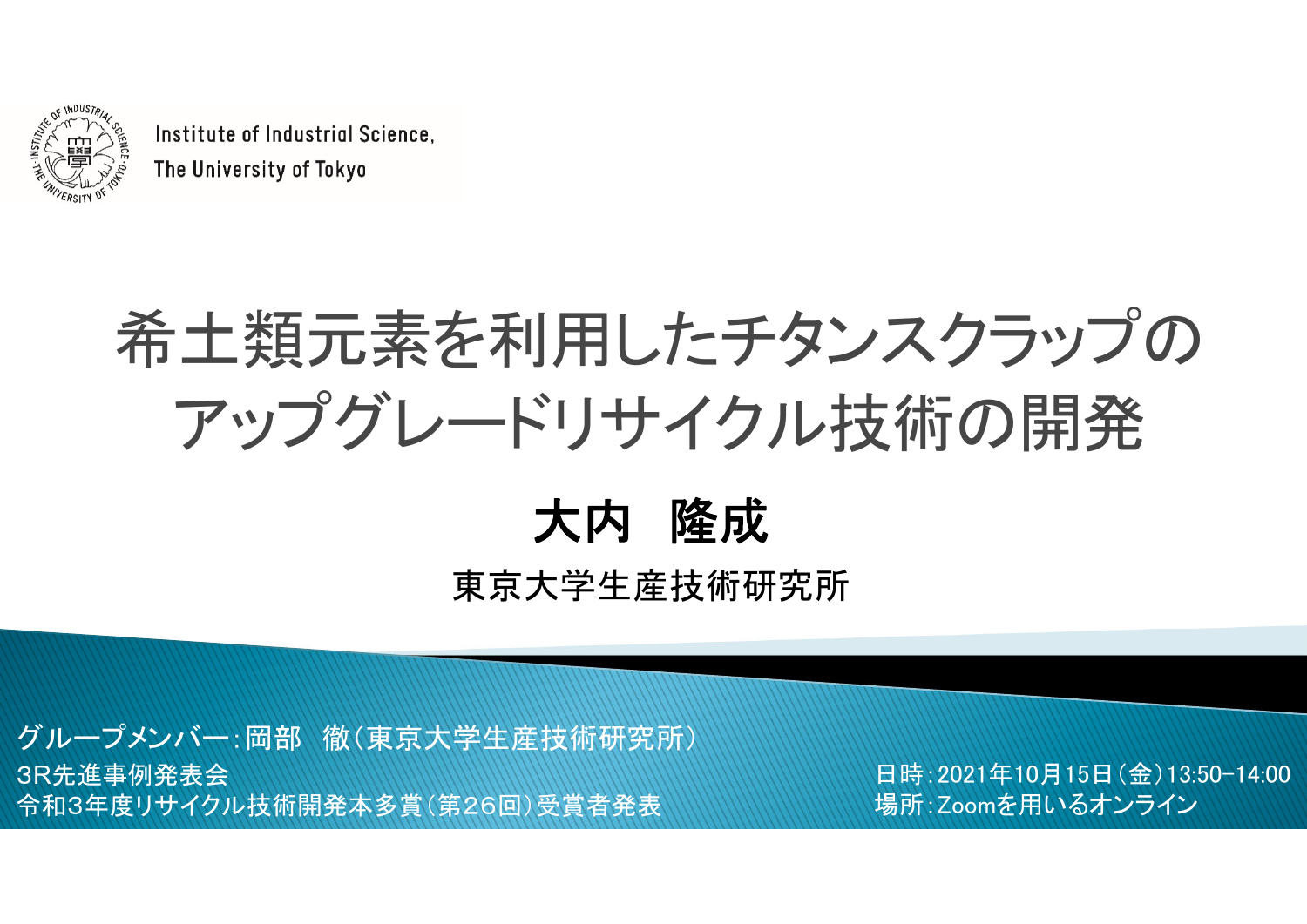

Institute of Industrial Science. The University of Tokyo

# 希土類元素を利用したチタンスクラップの アップグレードリサイクル技術の開発

#### 大内 隆成 東京大学生産技術研究所

3R先進事例発表会 令和3年度リサイクル技術開発本多賞(第26回)受賞者発表 グループメンバー:岡部 徹(東京大学生産技術研究所)

日時:2021年10月15日(金)13:50-14:00 場所:Zoomを用いるオンライン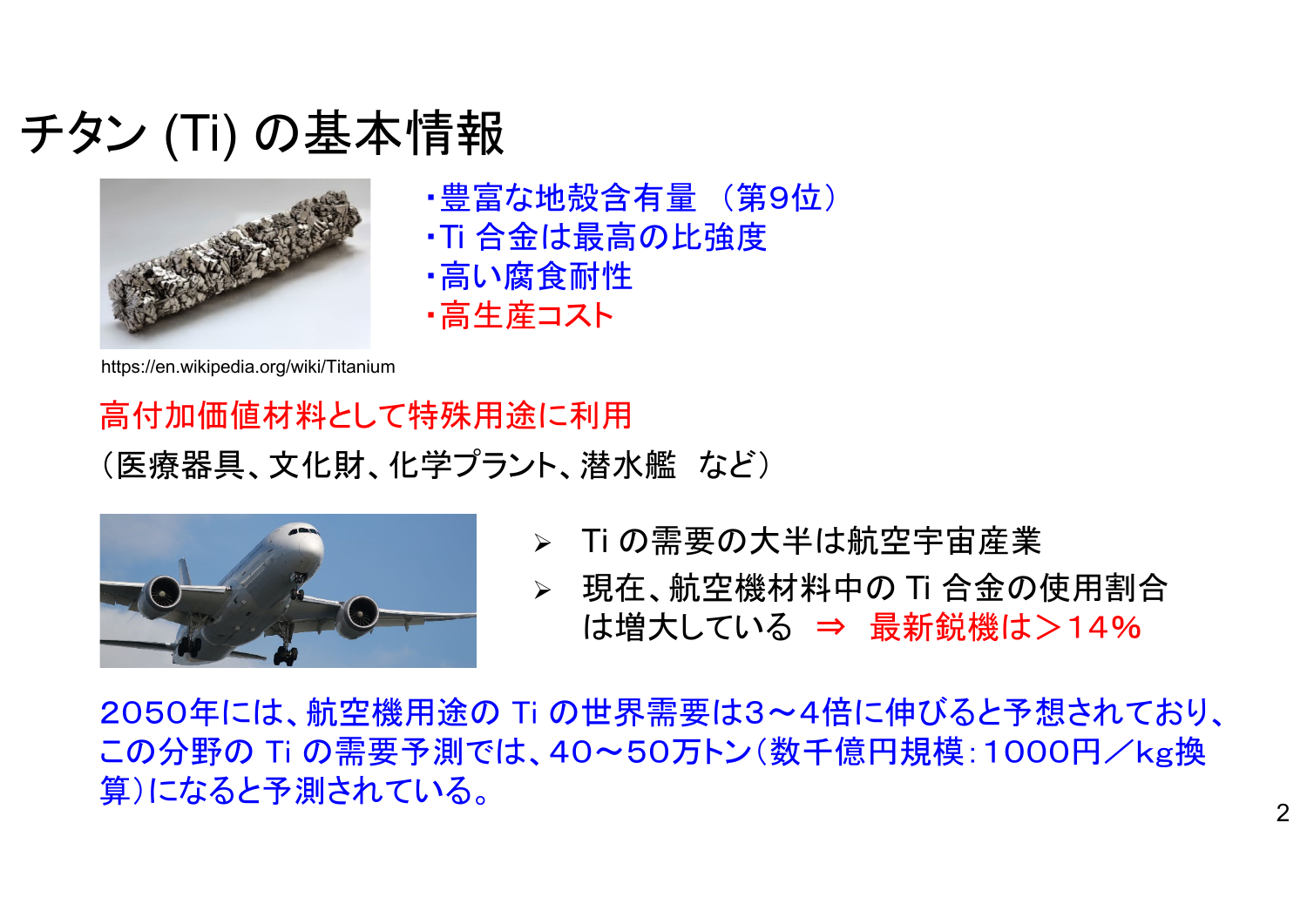#### チタン (Ti) の基本情報



- ・豊富な地殻含有量 (第9位)
- ・Ti 合金は最高の比強度
- ・高い腐食耐性
- ・高生産コスト

https://en.wikipedia.org/wiki/Titanium

高付加価値材料として特殊用途に利用 (医療器具、文化財、化学プラント、潜水艦 など)



- Ti の需要の大半は航空宇宙産業
- 現在、航空機材料中の Ti 合金の使用割合 は増大している <sup>⇒</sup> 最新鋭機は>14%

2050年には、航空機用途の Ti の世界需要は3~4倍に伸びると予想されており、 この分野の Ti の需要予測では、40~50万トン(数千億円規模:1000円/kg換 算)になると予測されている。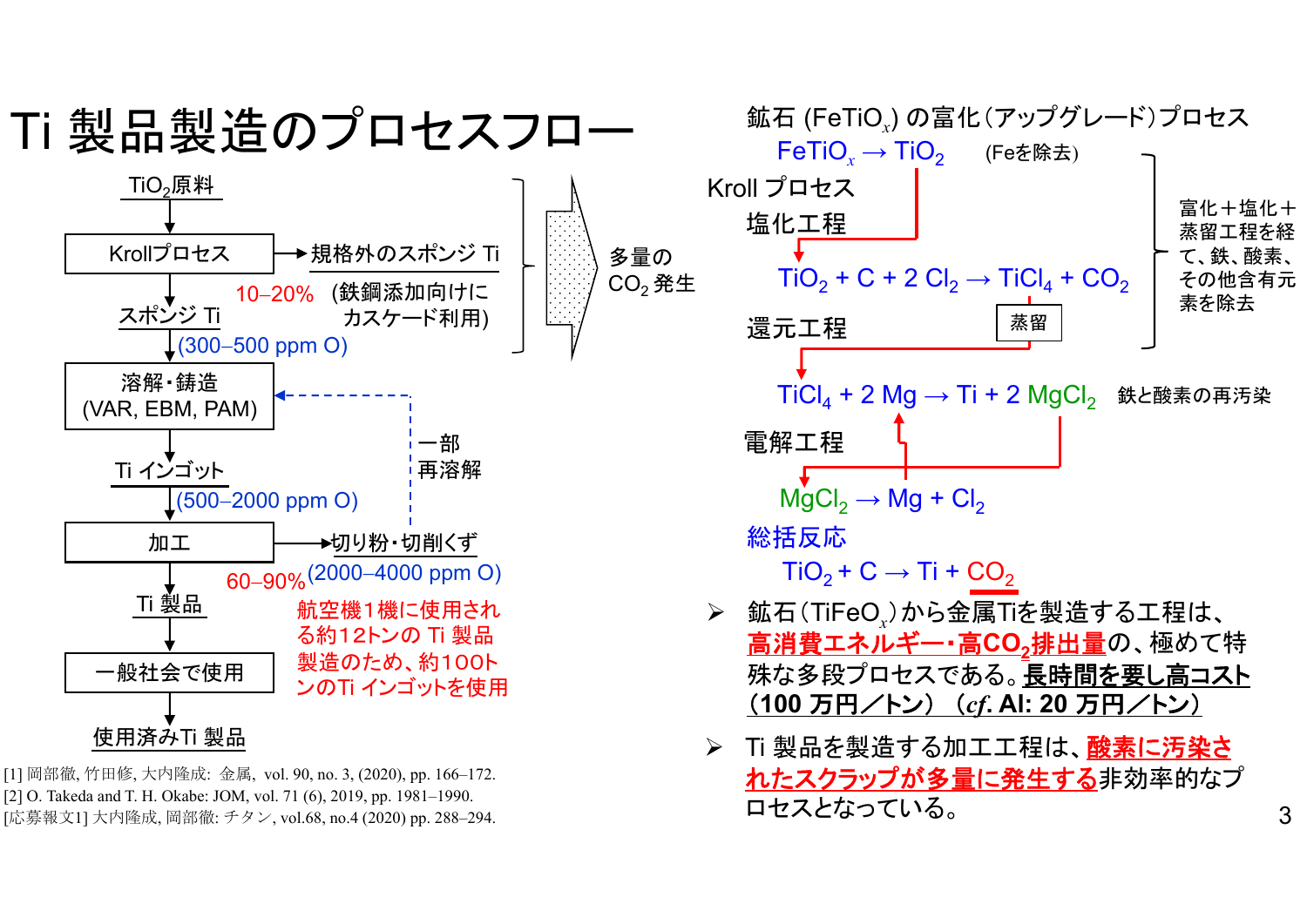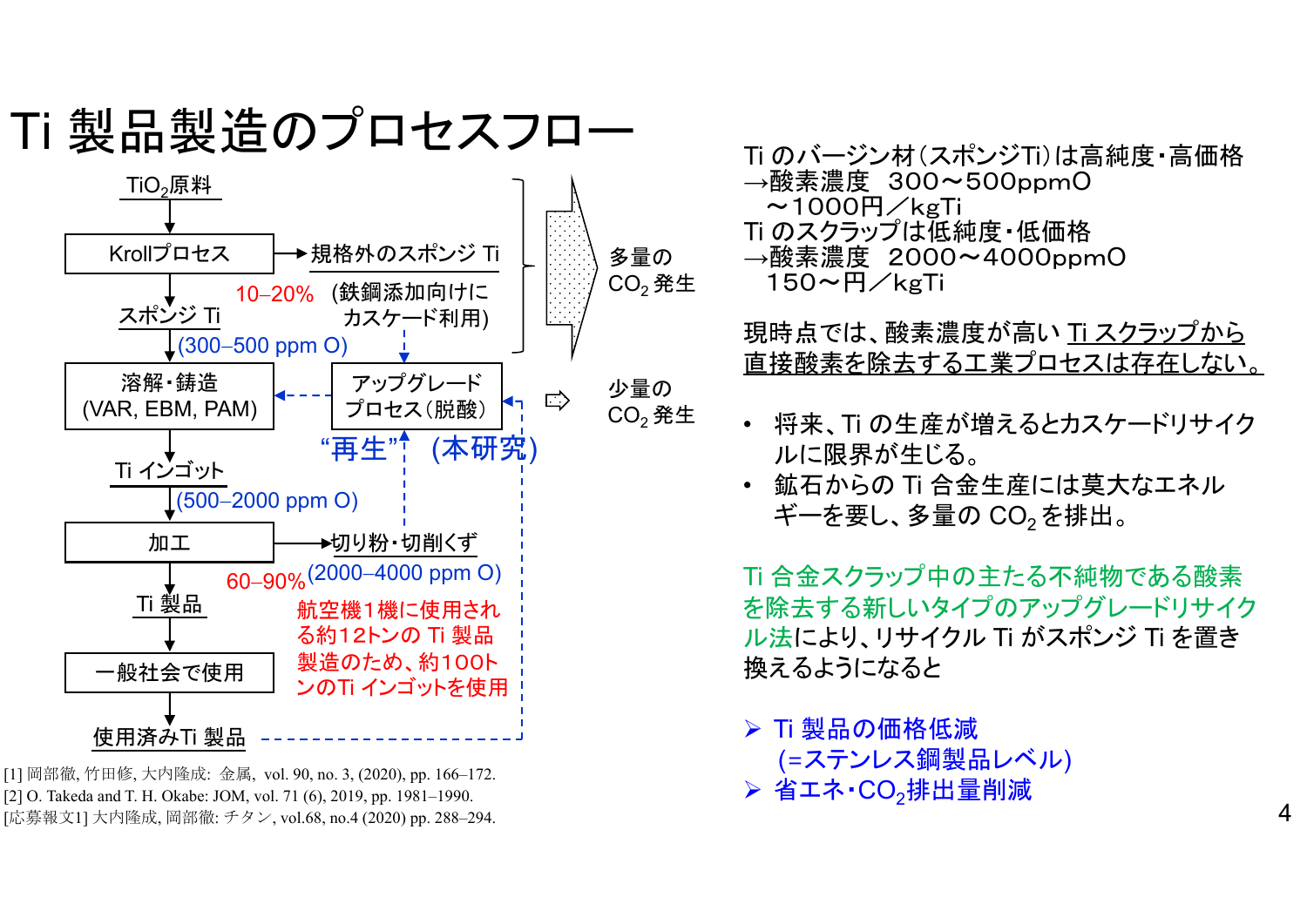



[1] 岡部徹, 竹田修, 大内隆成: 金属, vol. 90, no. 3, (2020), pp. 166–172. [2] O. Takeda and T. H. Okabe: JOM, vol. 71 (6), 2019, pp. 1981–1990. [応募報文1] 大内隆成, 岡部徹: チタン, vol.68, no.4 (2020) pp. 288–294. Ti のバージン材(スポンジTi)は高純度・高価格 <sup>→</sup>酸素濃度 300~500ppm O $\sim$ 1000円/kgTi Ti のスクラップは低純度・低価格 <sup>→</sup>酸素濃度 2000~4000ppm O 150~円/kgTi

現時点では、酸素濃度が高い Ti スクラップから 直接酸素を除去する工業プロセスは存在しない。

- • 将来、Ti の生産が増えるとカスケードリサイク ルに限界が生じる。
- • 鉱石からの Ti 合金生産には莫大なエネル ギーを要し、多量の CO<sub>2</sub>を排出。

Ti 合金スクラップ中の主たる不純物である酸素 を除去する新しいタイプのアップグレードリサイク ル法により、リサイクル Ti がスポンジ Ti を置き 換えるようになると

 Ti 製品の価格低減 (=ステンレス鋼製品レベル) > 省エネ・CO<sub>2</sub>排出量削減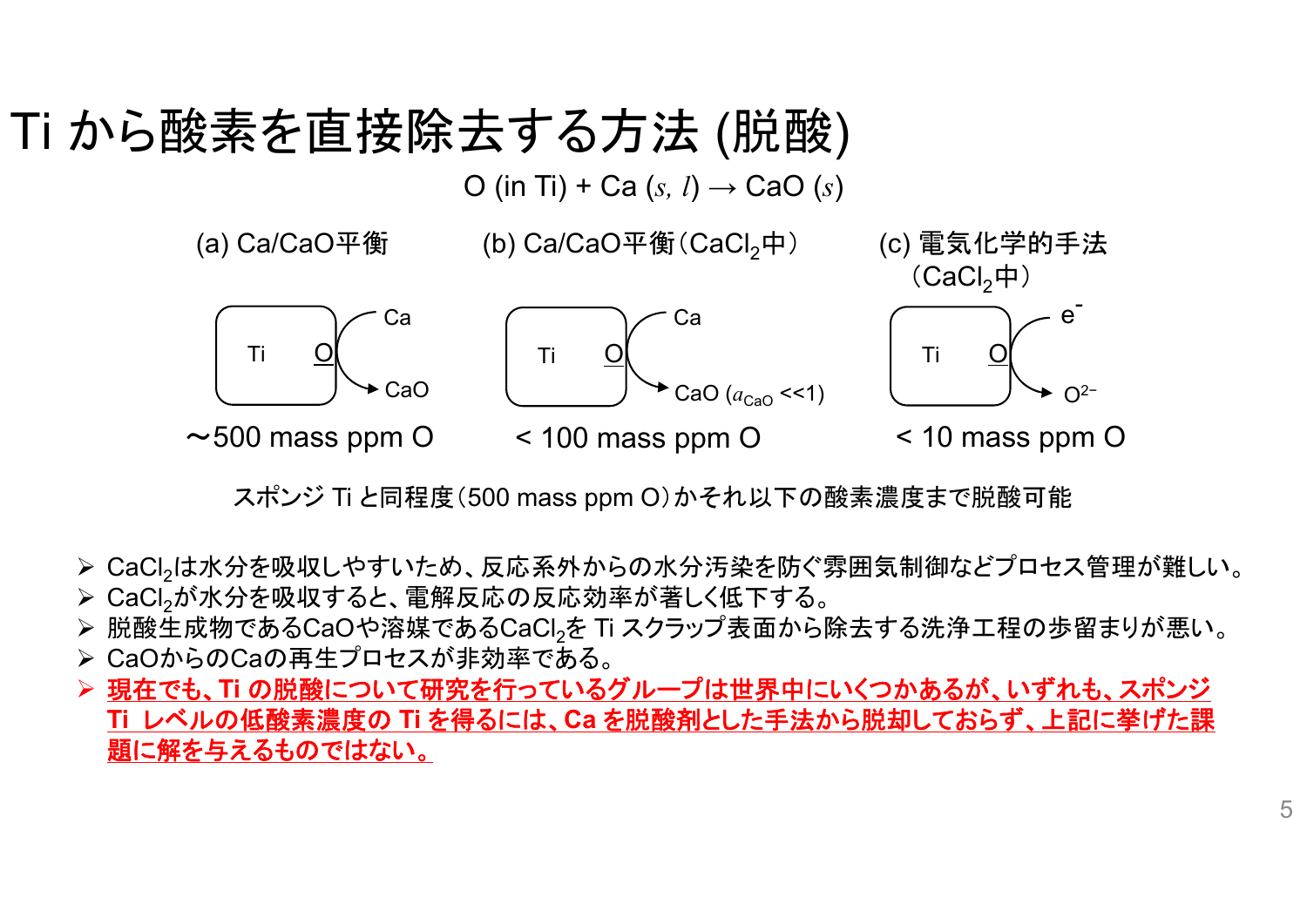## Ti から酸素を直接除去する方法 (脱酸)

O (in Ti) + Ca (*s, l*) → CaO (*s*)

(a) Ca/CaO平衡

(b) Ca/CaO平衡(CaCl<sub>2</sub>中)

(c) 電気化学的手法



スポンジ Ti と同程度(500 mass ppm O)かそれ以下の酸素濃度まで脱酸可能

> CaCl<sub>2</sub>は水分を吸収しやすいため、反応系外からの水分汚染を防ぐ雰囲気制御などプロセス管理が難しい。 > CaCl2が水分を吸収すると、電解反応の反応効率が著しく低下する。

 $\blacktriangleright$ 脱酸生成物であるCaOや溶媒であるCaCl2を Ti スクラップ表面から除去する洗浄工程の歩留まりが悪い。

- CaOからのCaの再生プロセスが非効率である。
- 現在でも、**Ti** の脱酸について研究を行っているグループは世界中にいくつかあるが、いずれも、スポンジ **Ti** レベルの低酸素濃度の **Ti** を得るには、**Ca** を脱酸剤とした手法から脱却しておらず、上記に挙げた課 題に解を与えるものではない。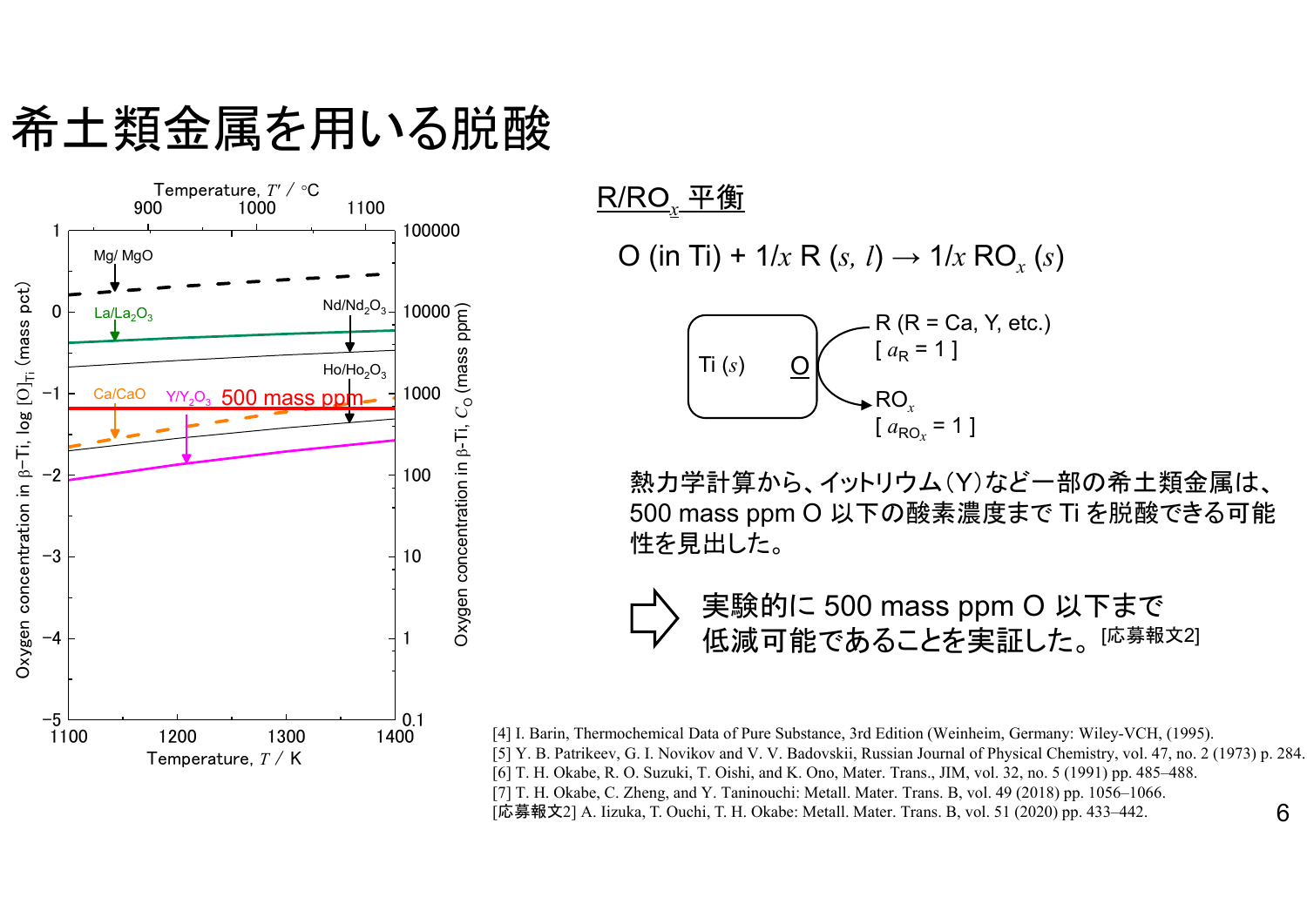希土類金属を用いる脱酸



R/R O *x* 平衡

 $\mathsf{O}\ \mathsf{(in\ Ti)} + \mathsf{1/x\ R}\ \mathsf{(s,\ l)} \rightarrow \mathsf{1/x\ RO}_x\ \mathsf{(s)}$ 



熱力学計算から、イットリウム(Y)など一部の希土類金属は、 500 mass ppm O 以下の酸素濃度まで Ti を脱酸できる可能 性を見出した。



6[4] I. Barin, Thermochemical Data of Pure Substance, 3rd Edition (Weinheim, Germany: Wiley-VCH, (1995). [5] Y. B. Patrikeev, G. I. Novikov and V. V. Badovskii, Russian Journal of Physical Chemistry, vol. 47, no. 2 (1973) p. 284. [6] T. H. Okabe, R. O. Suzuki, T. Oishi, and K. Ono, Mater. Trans., JIM, vol. 32, no. 5 (1991) pp. 485–488. [7] T. H. Okabe, C. Zheng, and Y. Taninouchi: Metall. Mater. Trans. B, vol. 49 (2018) pp. 1056–1066. [応募報文2] A. Iizuka, T. Ouchi, T. H. Okabe: Metall. Mater. Trans. B, vol. 51 (2020) pp. 433–442.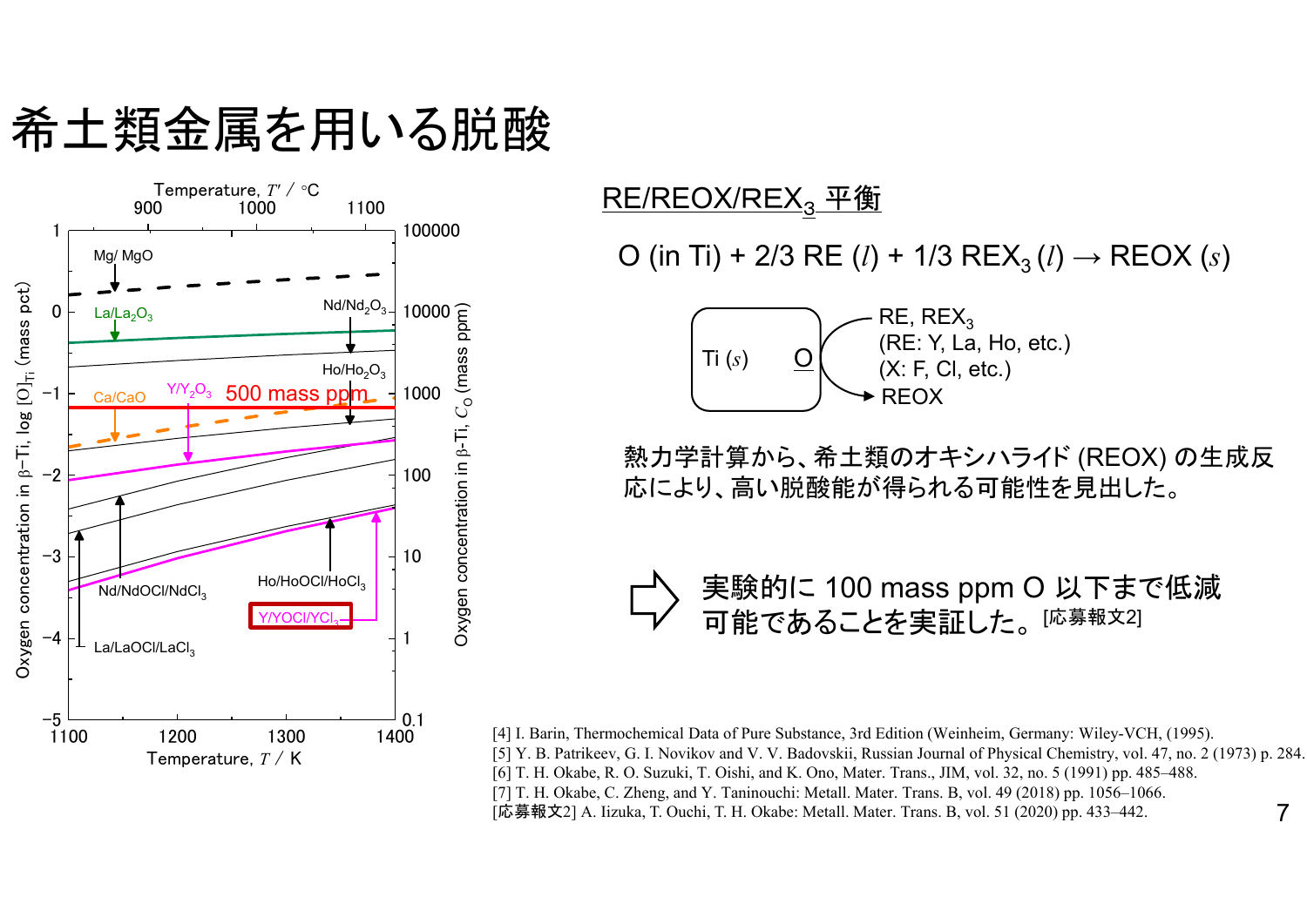希土類金属を用いる脱酸



<u>RE/REOX/REX<sub>3</sub> 平衡</u>

O (in Ti) + 2/3 RE (*l*) + 1/3 REX<sub>3</sub> (*l*)  $\rightarrow$  REOX (*s*)



熱力学計算から、希土類のオキシハライド (REOX) の生成反 応により、高い脱酸能が得られる可能性を見出した。



7[4] I. Barin, Thermochemical Data of Pure Substance, 3rd Edition (Weinheim, Germany: Wiley-VCH, (1995). [5] Y. B. Patrikeev, G. I. Novikov and V. V. Badovskii, Russian Journal of Physical Chemistry, vol. 47, no. 2 (1973) p. 284. [6] T. H. Okabe, R. O. Suzuki, T. Oishi, and K. Ono, Mater. Trans., JIM, vol. 32, no. 5 (1991) pp. 485–488. [7] T. H. Okabe, C. Zheng, and Y. Taninouchi: Metall. Mater. Trans. B, vol. 49 (2018) pp. 1056–1066. [応募報文2] A. Iizuka, T. Ouchi, T. H. Okabe: Metall. Mater. Trans. B, vol. 51 (2020) pp. 433–442.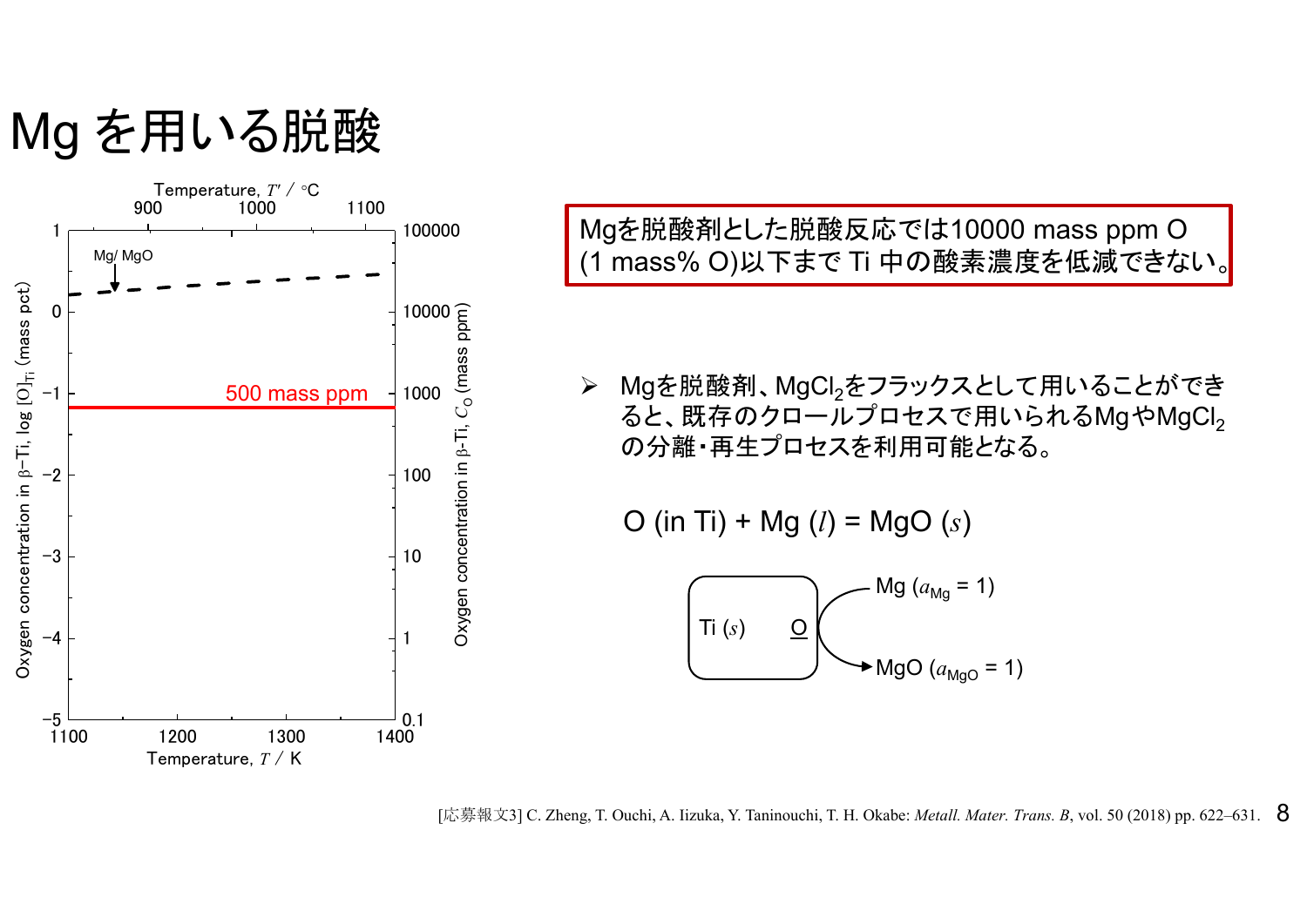Mg を用いる脱酸



Mgを脱酸剤とした脱酸反応では10000 mass ppm O (1 mass% O)以下まで Ti 中の酸素濃度を低減できない。

 $\blacktriangleright$  Mgを脱酸剤、MgCl2をフラックスとして用いることができ ると、既存のクロールプロセスで用いられるMgやMgCl2 の分離・再生プロセスを利用可能となる。

O (in Ti) + Mg (*l*) = MgO (*s*)



[応募報文3] C. Zheng, T. Ouchi, A. Iizuka, Y. Taninouchi, T. H. Okabe: *Metall. Mater. Trans. B*, vol. 50 (2018) pp. 622–631. **8**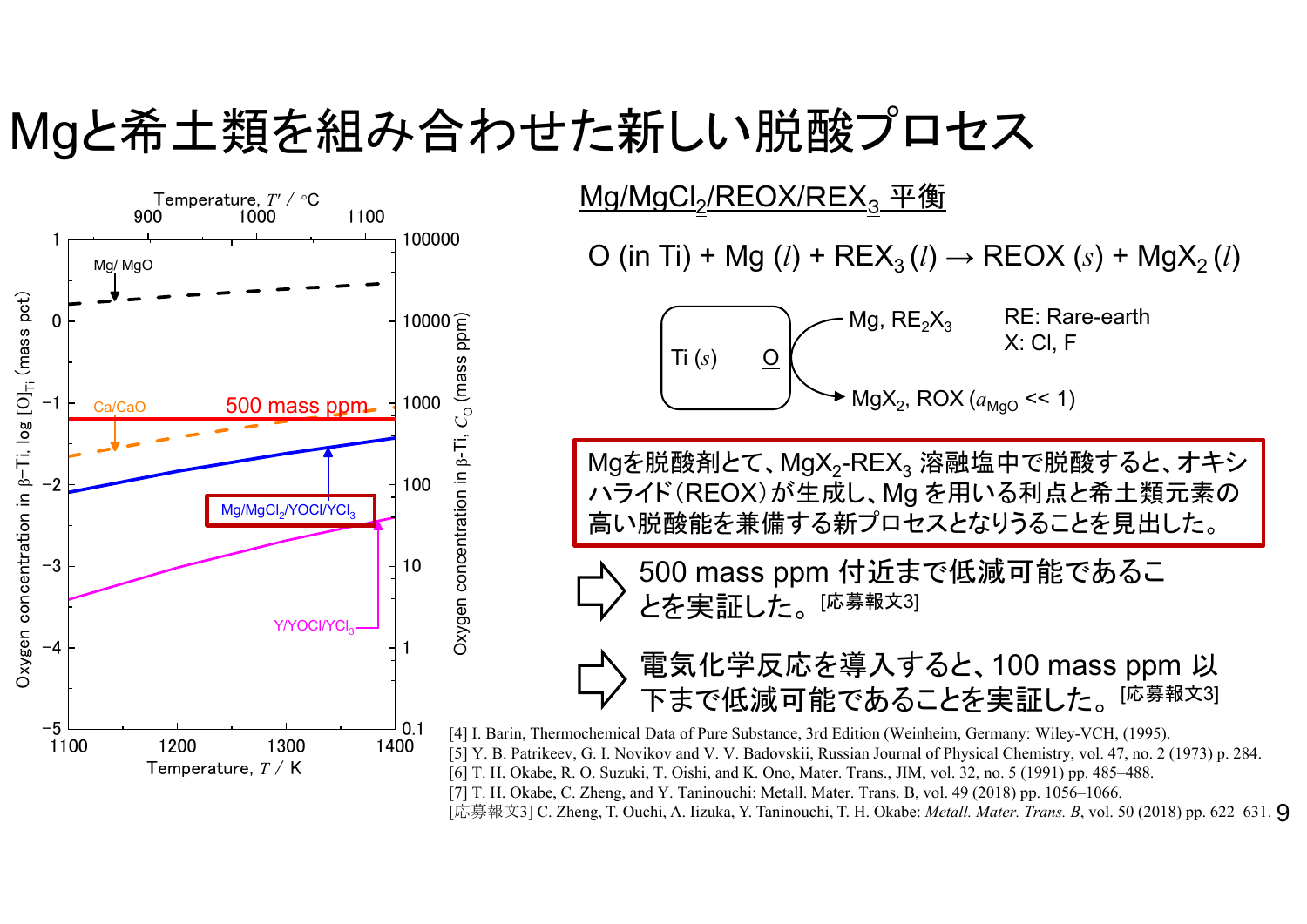#### Mgと希土類を組み合わせた新しい脱酸プロセス



<u>Mg/MgCl<sub>2</sub>/REOX/REX $_3$  平衡</u>

O (in Ti) + Mg (*l*) + REX $_3$  (*l*) → REOX (*s*) + MgX $_2$  (*l*)

Mg,  $RE_2X_3$ MgX<sub>2</sub>, ROX ( $a_{\rm{MgO}}$  << 1) RE: Rare-earthTi  $(s)$   $\qquad \underline{O}$   $\begin{pmatrix} x: C I, F \end{pmatrix}$  $\overline{I}$ **i**  $(s)$   $\overline{O}$ 

Mgを脱酸剤とて、MgX<sub>2</sub>-REX<sub>3</sub> 溶融塩中で脱酸すると、オキシ ハライド(REOX)が生成し、Mg を用いる利点と希土類元素の 高い脱酸能を兼備する新プロセスとなりうることを見出した。

500 mass ppm 付近まで低減可能であるこ とを実証した。 [<sup>応募報文3]</sup>

#### 電気化学反応を導入すると、100 mass ppm 以 下まで低減可能であることを実証した。 <sup>[応募報文3]</sup>

[応募報文3] C. Zheng, T. Ouchi, A. Iizuka, Y. Taninouchi, T. H. Okabe: *Metall. Mater. Trans. B*, vol. 50 (2018) pp. 622–631. **9** [4] I. Barin, Thermochemical Data of Pure Substance, 3rd Edition (Weinheim, Germany: Wiley-VCH, (1995). [5] Y. B. Patrikeev, G. I. Novikov and V. V. Badovskii, Russian Journal of Physical Chemistry, vol. 47, no. 2 (1973) p. 284. [6] T. H. Okabe, R. O. Suzuki, T. Oishi, and K. Ono, Mater. Trans., JIM, vol. 32, no. 5 (1991) pp. 485–488. [7] T. H. Okabe, C. Zheng, and Y. Taninouchi: Metall. Mater. Trans. B, vol. 49 (2018) pp. 1056–1066.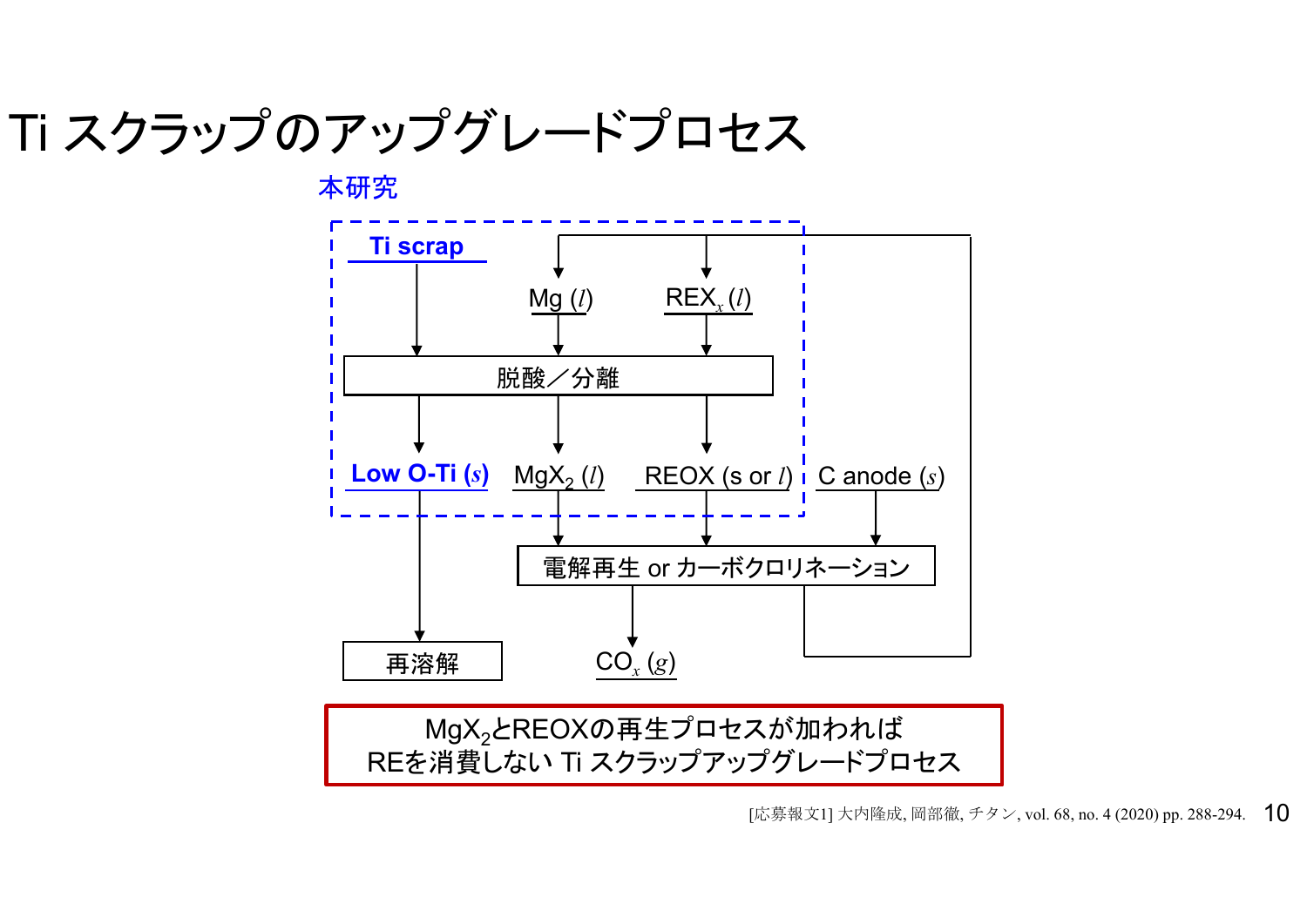### Ti スクラップのアップグレードプロセス

本研究



[応募報文1] 大内隆成, 岡部徹, チタン, vol. 68, no. 4 (2020) pp. 288-294. **10**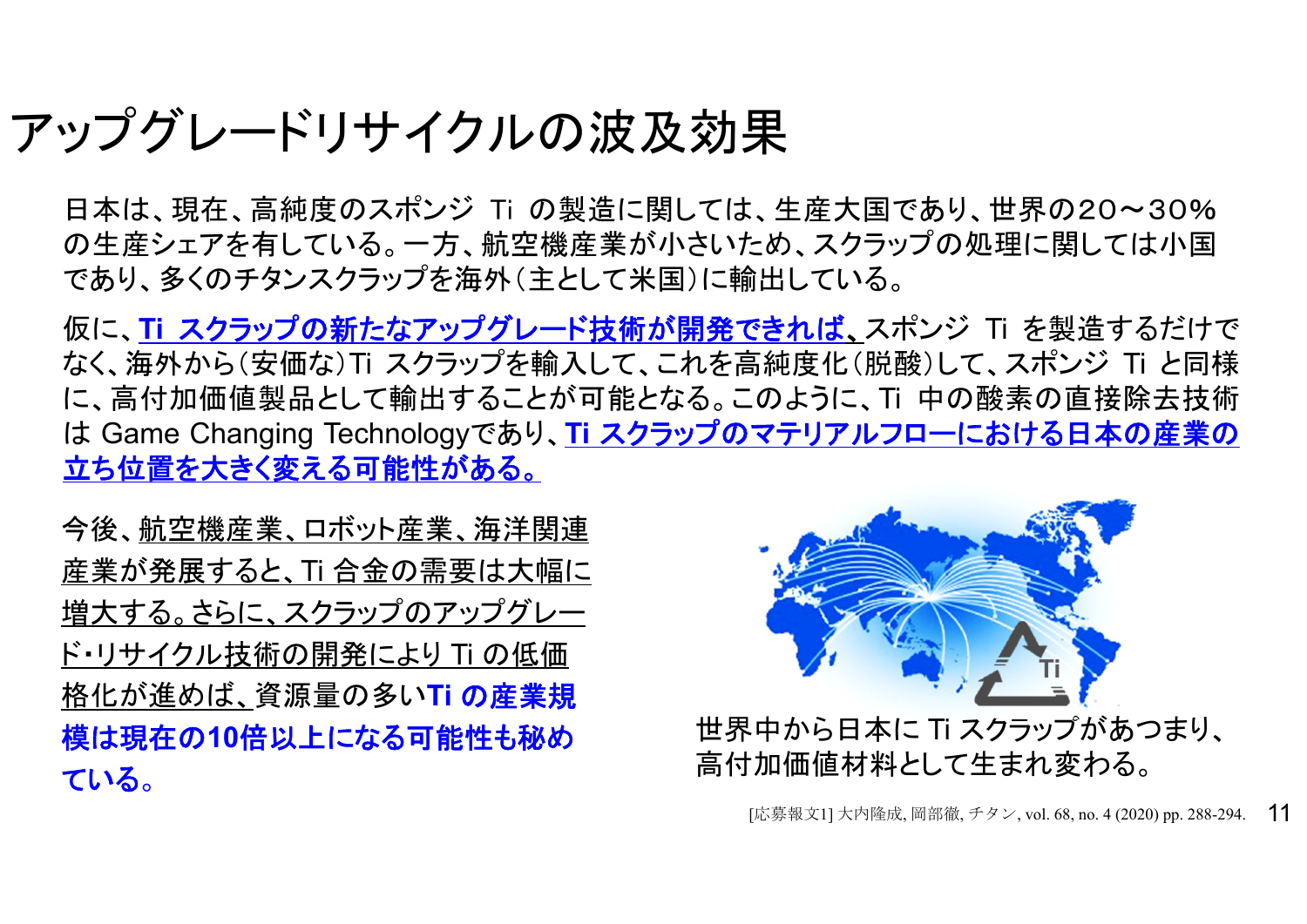#### アップグレードリサイクルの波及効果

日本は、現在、高純度のスポンジ Ti の製造に関しては、生産大国であり、世界の20~30% の生産シェアを有している。一方、航空機産業が小さいため、スクラップの処理に関しては小国 であり、多くのチタンスクラップを海外(主として米国)に輸出している。

仮に、**Ti** スクラップの新たなアップグレード技術が開発できれば 、スポンジ Ti を製造するだけで なく、海外から(安価な)Ti スクラップを輸入して、これを高純度化(脱酸)して、スポンジ Ti と同様 に、高付加価値製品として輸出することが可能となる。このように、Ti 中の酸素の直接除去技術 は Game Changing Technologyであり、**Ti** スクラップのマテリアルフローにおける日本の産業の 立ち位置を大きく変える可能性がある。

今後、航空機産業、ロボット産業、海洋関連 産業が発展すると、Ti 合金の需要は大幅に 増大する。さらに、スクラップのアップグレー ド・リサイクル技術の開発により Ti の低価 格化が進めば、資源量の多い**Ti** の産業規 模は現在の**10**倍以上になる可能性も秘め ている 。



世界中から日本に Ti スクラップがあつまり、 高付加価値材料として生まれ変わる。

[応募報文1] 大内隆成, 岡部徹, チタン, vol. 68, no. 4 (2020) pp. 288-294. 11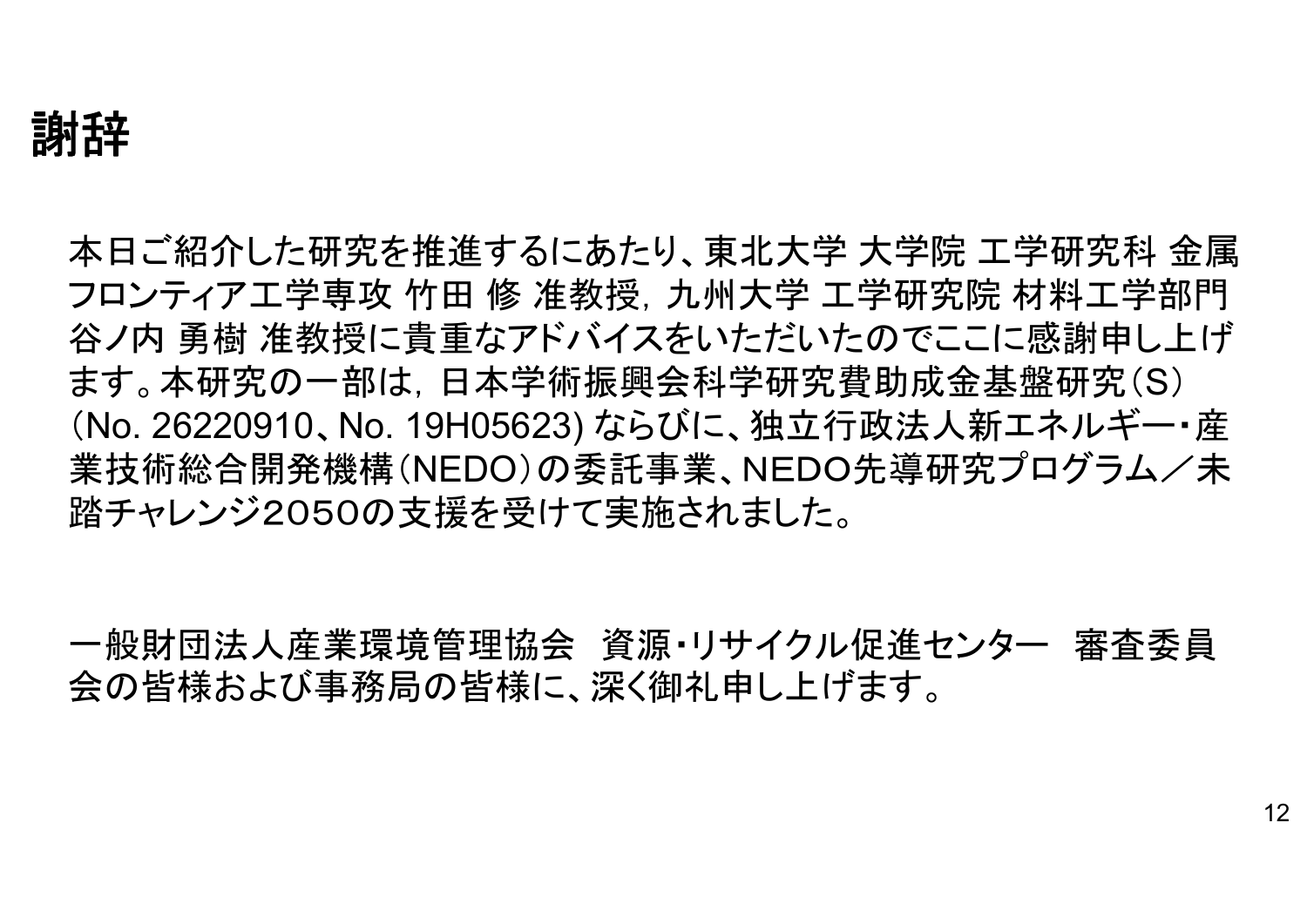謝辞

本日ご紹介した研究を推進するにあたり、東北大学 大学院 工学研究科 金属 フロンティア工学専攻 竹田 修 准教授,九州大学 工学研究院 材料工学部門 谷ノ内 勇樹 准教授に貴重なアドバイスをいただいたのでここに感謝申し上げ ます。本研究の一部は,日本学術振興会科学研究費助成金基盤研究(S) (No. 26220910、No. 19H05623) ならびに、独立行政法人新エネルギー・産 業技術総合開発機構(NEDO)の委託事業、NEDO先導研究プログラム/未 踏チャレンジ2050の支援を受けて実施されました。

一般財団法人産業環境管理協会 資源・リサイクル促進センター 審査委員 会の皆様および事務局の皆様に、深く御礼申し上げます。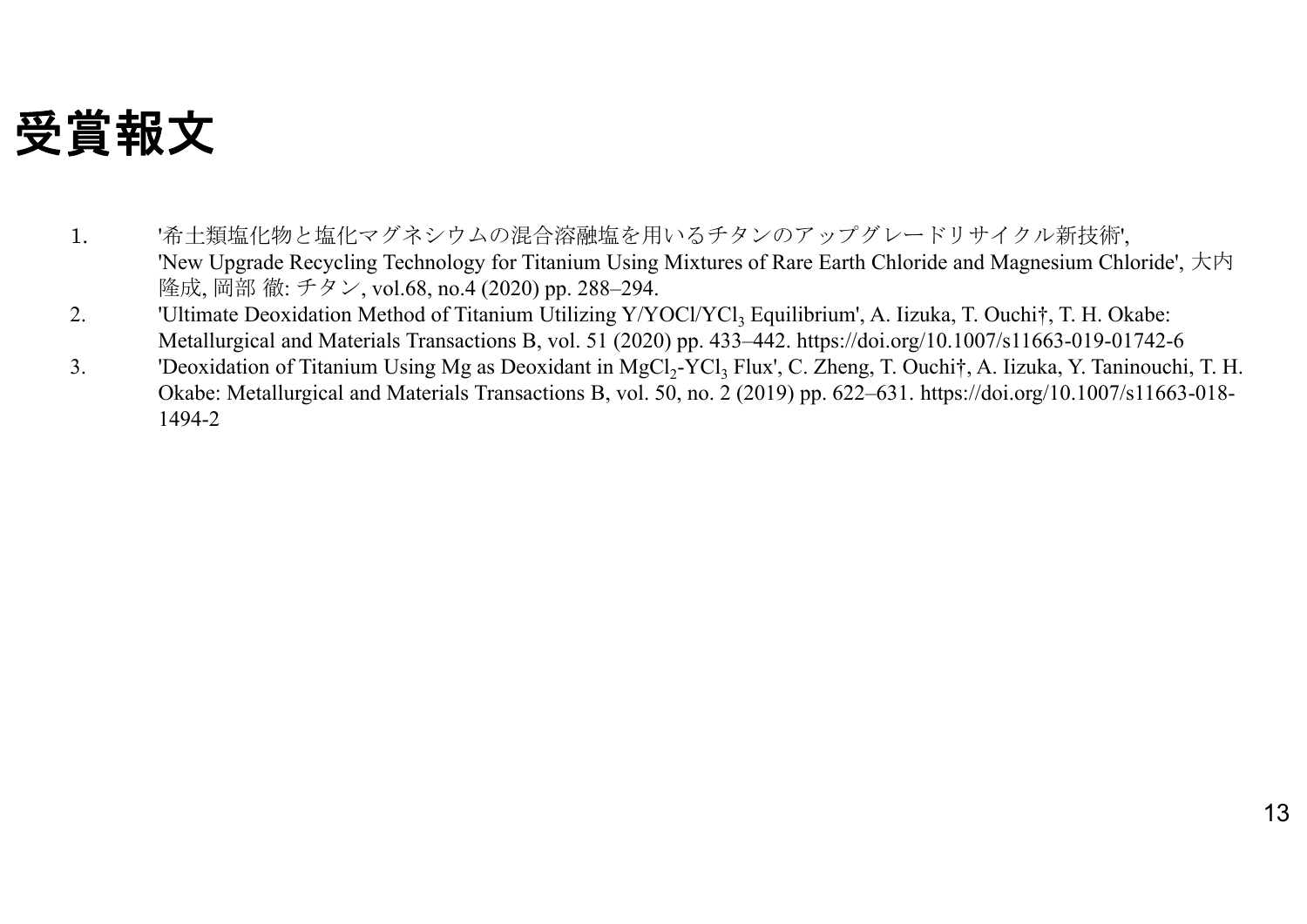#### 受賞報文

- 1. '希土類塩化物と塩化マグネシウムの混合溶融塩を用いるチタンのアップグレードリサイクル新技術', 'New Upgrade Recycling Technology for Titanium Using Mixtures of Rare Earth Chloride and Magnesium Chloride', 大内 隆成, 岡部 徹: チタン, vol.68, no.4 (2020) pp. 288–294.
- 2.'Ultimate Deoxidation Method of Titanium Utilizing Y/YOCl/YCl<sub>3</sub> Equilibrium', A. Iizuka, T. Ouchi†, T. H. Okabe: Metallurgical and Materials Transactions B, vol. 51 (2020) pp. 433–442. https://doi.org/10.1007/s11663-019-01742-6
- 3.'Deoxidation of Titanium Using Mg as Deoxidant in MgCl<sub>2</sub>-YCl<sub>3</sub> Flux', C. Zheng, T. Ouchi†, A. Iizuka, Y. Taninouchi, T. H. Okabe: Metallurgical and Materials Transactions B, vol. 50, no. 2 (2019) pp. 622–631. https://doi.org/10.1007/s11663-018- 1494-2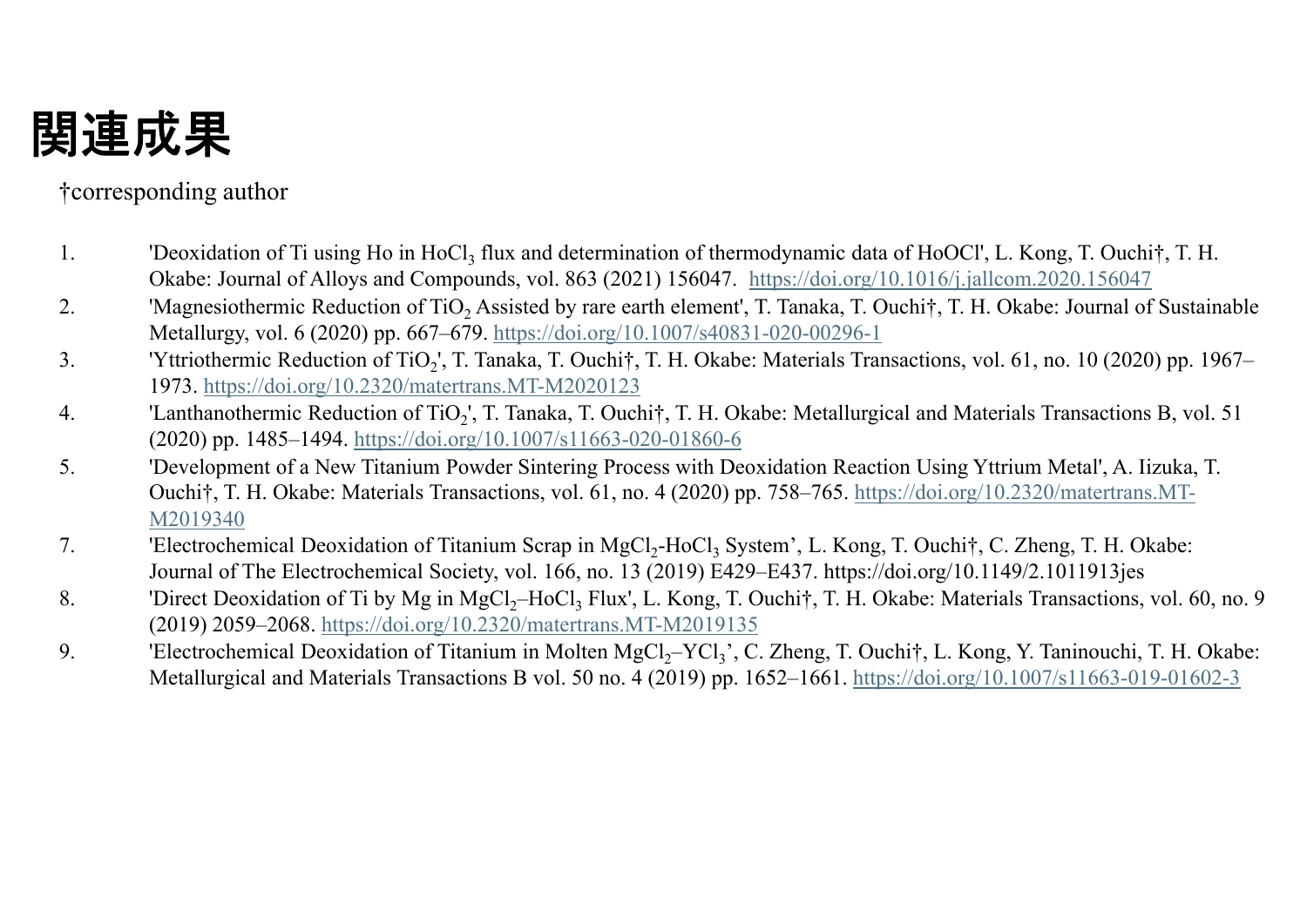### 関連成果

#### †corresponding author

- 1.'Deoxidation of Ti using Ho in HoCl<sub>3</sub> flux and determination of thermodynamic data of HoOCl', L. Kong, T. Ouchi†, T. H. Okabe: Journal of Alloys and Compounds, vol. 863 (2021) 156047. https://doi.org/10.1016/j.jallcom.2020.156047
- 2.. "Magnesiothermic Reduction of TiO<sub>2</sub> Assisted by rare earth element', T. Tanaka, T. Ouchi†, T. H. Okabe: Journal of Sustainable Metallurgy, vol. 6 (2020) pp. 667–679. https://doi.org/10.1007/s40831-020-00296-1
- 3.'Yttriothermic Reduction of TiO<sub>2</sub>', T. Tanaka, T. Ouchi†, T. H. Okabe: Materials Transactions, vol. 61, no. 10 (2020) pp. 1967– 1973. https://doi.org/10.2320/matertrans.MT-M2020123
- 4.'Lanthanothermic Reduction of TiO<sub>2</sub>', T. Tanaka, T. Ouchi†, T. H. Okabe: Metallurgical and Materials Transactions B, vol. 51 (2020) pp. 1485–1494. https://doi.org/10.1007/s11663-020-01860-6
- 5. 'Development of a New Titanium Powder Sintering Process with Deoxidation Reaction Using Yttrium Metal', A. Iizuka, T. Ouchi†, T. H. Okabe: Materials Transactions, vol. 61, no. 4 (2020) pp. 758–765. https://doi.org/10.2320/matertrans.MT-M2019340
- 7. 'Electrochemical Deoxidation of Titanium Scrap in MgCl<sub>2</sub>-HoCl<sub>3</sub> System', L. Kong, T. Ouchi†, C. Zheng, T. H. Okabe: Journal of The Electrochemical Society, vol. 166, no. 13 (2019) E429–E437. https://doi.org/10.1149/2.1011913jes
- 8.'Direct Deoxidation of Ti by Mg in MgCl<sub>2</sub>–HoCl<sub>3</sub> Flux', L. Kong, T. Ouchi†, T. H. Okabe: Materials Transactions, vol. 60, no. 9 (2019) 2059–2068. https://doi.org/10.2320/matertrans.MT-M2019135
- 9. 'Electrochemical Deoxidation of Titanium in Molten MgCl<sub>2</sub>–YCl<sub>3</sub>', C. Zheng, T. Ouchi†, L. Kong, Y. Taninouchi, T. H. Okabe: Metallurgical and Materials Transactions B vol. 50 no. 4 (2019) pp. 1652–1661. https://doi.org/10.1007/s11663-019-01602-3